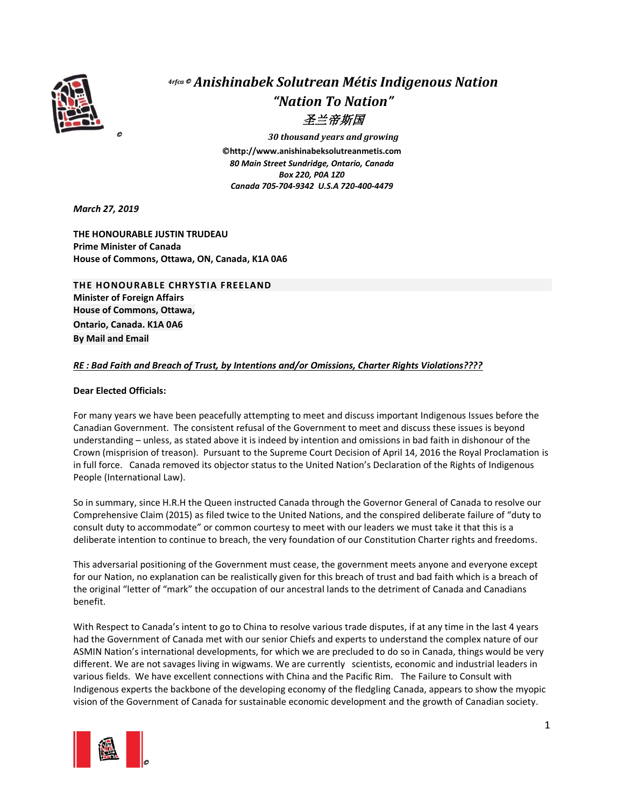

## *4rfca* © *Anishinabek Solutrean Métis Indigenous Nation "Nation To Nation"* 圣兰帝斯国

© *30 thousand years and growing* ©**http://www.anishinabeksolutreanmetis.com** *80 Main Street Sundridge, Ontario, Canada Box 220, P0A 1Z0 Canada 705-704-9342 U.S.A 720-400-4479*

*March 27, 2019*

**THE HONOURABLE JUSTIN TRUDEAU Prime Minister of Canada House of Commons, Ottawa, ON, Canada, K1A 0A6** 

**THE HONOURABLE CHRYSTIA FREELAND Minister of Foreign Affairs House of Commons, Ottawa, Ontario, Canada. K1A 0A6 By Mail and Email**

## *RE : Bad Faith and Breach of Trust, by Intentions and/or Omissions, Charter Rights Violations????*

## **Dear Elected Officials:**

For many years we have been peacefully attempting to meet and discuss important Indigenous Issues before the Canadian Government. The consistent refusal of the Government to meet and discuss these issues is beyond understanding – unless, as stated above it is indeed by intention and omissions in bad faith in dishonour of the Crown (misprision of treason). Pursuant to the Supreme Court Decision of April 14, 2016 the Royal Proclamation is in full force. Canada removed its objector status to the United Nation's Declaration of the Rights of Indigenous People (International Law).

So in summary, since H.R.H the Queen instructed Canada through the Governor General of Canada to resolve our Comprehensive Claim (2015) as filed twice to the United Nations, and the conspired deliberate failure of "duty to consult duty to accommodate" or common courtesy to meet with our leaders we must take it that this is a deliberate intention to continue to breach, the very foundation of our Constitution Charter rights and freedoms.

This adversarial positioning of the Government must cease, the government meets anyone and everyone except for our Nation, no explanation can be realistically given for this breach of trust and bad faith which is a breach of the original "letter of "mark" the occupation of our ancestral lands to the detriment of Canada and Canadians benefit.

With Respect to Canada's intent to go to China to resolve various trade disputes, if at any time in the last 4 years had the Government of Canada met with our senior Chiefs and experts to understand the complex nature of our ASMIN Nation's international developments, for which we are precluded to do so in Canada, things would be very different. We are not savages living in wigwams. We are currently scientists, economic and industrial leaders in various fields. We have excellent connections with China and the Pacific Rim. The Failure to Consult with Indigenous experts the backbone of the developing economy of the fledgling Canada, appears to show the myopic vision of the Government of Canada for sustainable economic development and the growth of Canadian society.